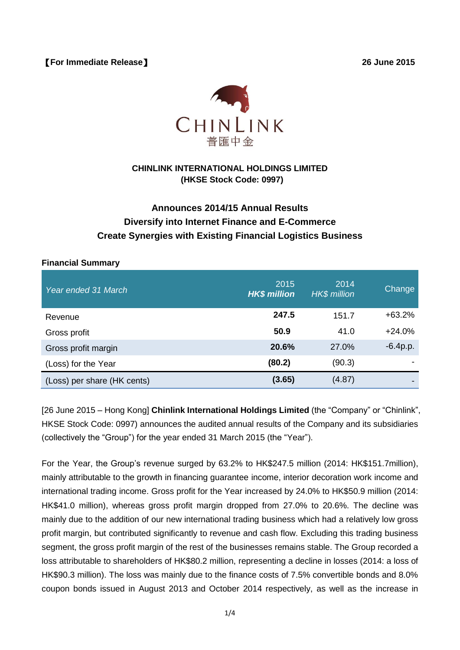【**For Immediate Release**】 **26 June 2015**



# **CHINLINK INTERNATIONAL HOLDINGS LIMITED (HKSE Stock Code: 0997)**

# **Announces 2014/15 Annual Results Diversify into Internet Finance and E-Commerce Create Synergies with Existing Financial Logistics Business**

### **Financial Summary**

| Year ended 31 March         | 2015<br><b>HK\$ million</b> | 2014<br><b>HK\$</b> million | Change     |
|-----------------------------|-----------------------------|-----------------------------|------------|
| Revenue                     | 247.5                       | 151.7                       | $+63.2%$   |
| Gross profit                | 50.9                        | 41.0                        | $+24.0%$   |
| Gross profit margin         | 20.6%                       | 27.0%                       | $-6.4p.p.$ |
| (Loss) for the Year         | (80.2)                      | (90.3)                      |            |
| (Loss) per share (HK cents) | (3.65)                      | (4.87)                      |            |

[26 June 2015 – Hong Kong] **Chinlink International Holdings Limited** (the "Company" or "Chinlink", HKSE Stock Code: 0997) announces the audited annual results of the Company and its subsidiaries (collectively the "Group") for the year ended 31 March 2015 (the "Year").

For the Year, the Group's revenue surged by 63.2% to HK\$247.5 million (2014: HK\$151.7million), mainly attributable to the growth in financing guarantee income, interior decoration work income and international trading income. Gross profit for the Year increased by 24.0% to HK\$50.9 million (2014: HK\$41.0 million), whereas gross profit margin dropped from 27.0% to 20.6%. The decline was mainly due to the addition of our new international trading business which had a relatively low gross profit margin, but contributed significantly to revenue and cash flow. Excluding this trading business segment, the gross profit margin of the rest of the businesses remains stable. The Group recorded a loss attributable to shareholders of HK\$80.2 million, representing a decline in losses (2014: a loss of HK\$90.3 million). The loss was mainly due to the finance costs of 7.5% convertible bonds and 8.0% coupon bonds issued in August 2013 and October 2014 respectively, as well as the increase in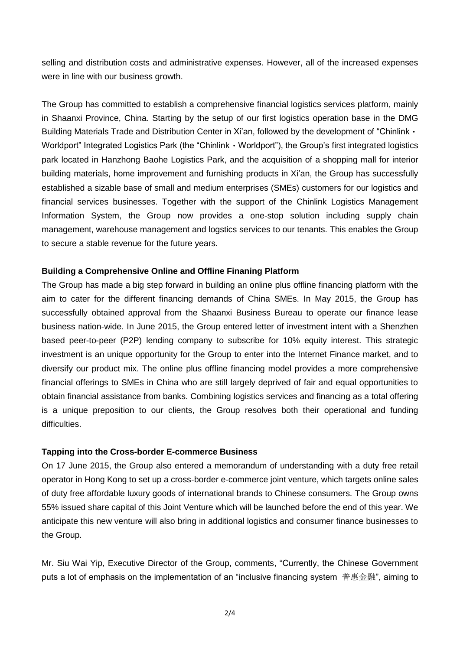selling and distribution costs and administrative expenses. However, all of the increased expenses were in line with our business growth.

The Group has committed to establish a comprehensive financial logistics services platform, mainly in Shaanxi Province, China. Starting by the setup of our first logistics operation base in the DMG Building Materials Trade and Distribution Center in Xi'an, followed by the development of "Chinlink  $\cdot$ Worldport" Integrated Logistics Park (the "Chinlink · Worldport"), the Group's first integrated logistics park located in Hanzhong Baohe Logistics Park, and the acquisition of a shopping mall for interior building materials, home improvement and furnishing products in Xi'an, the Group has successfully established a sizable base of small and medium enterprises (SMEs) customers for our logistics and financial services businesses. Together with the support of the Chinlink Logistics Management Information System, the Group now provides a one-stop solution including supply chain management, warehouse management and logstics services to our tenants. This enables the Group to secure a stable revenue for the future years.

#### **Building a Comprehensive Online and Offline Finaning Platform**

The Group has made a big step forward in building an online plus offline financing platform with the aim to cater for the different financing demands of China SMEs. In May 2015, the Group has successfully obtained approval from the Shaanxi Business Bureau to operate our finance lease business nation-wide. In June 2015, the Group entered letter of investment intent with a Shenzhen based peer-to-peer (P2P) lending company to subscribe for 10% equity interest. This strategic investment is an unique opportunity for the Group to enter into the Internet Finance market, and to diversify our product mix. The online plus offline financing model provides a more comprehensive financial offerings to SMEs in China who are still largely deprived of fair and equal opportunities to obtain financial assistance from banks. Combining logistics services and financing as a total offering is a unique preposition to our clients, the Group resolves both their operational and funding difficulties.

## **Tapping into the Cross-border E-commerce Business**

On 17 June 2015, the Group also entered a memorandum of understanding with a duty free retail operator in Hong Kong to set up a cross-border e-commerce joint venture, which targets online sales of duty free affordable luxury goods of international brands to Chinese consumers. The Group owns 55% issued share capital of this Joint Venture which will be launched before the end of this year. We anticipate this new venture will also bring in additional logistics and consumer finance businesses to the Group.

Mr. Siu Wai Yip, Executive Director of the Group, comments, "Currently, the Chinese Government puts a lot of emphasis on the implementation of an "inclusive financing system 普惠金融", aiming to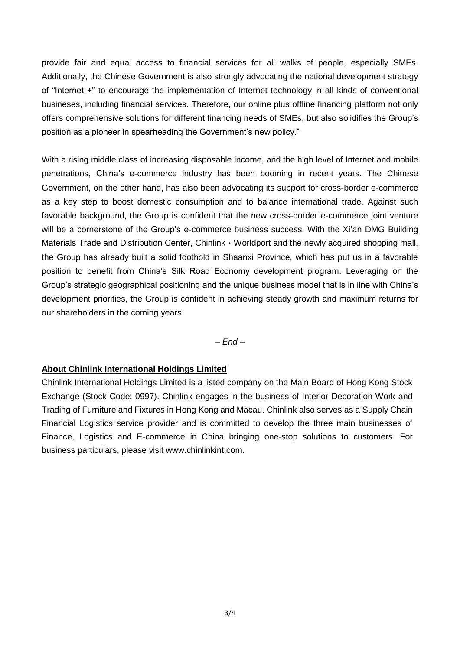provide fair and equal access to financial services for all walks of people, especially SMEs. Additionally, the Chinese Government is also strongly advocating the national development strategy of "Internet +" to encourage the implementation of Internet technology in all kinds of conventional busineses, including financial services. Therefore, our online plus offline financing platform not only offers comprehensive solutions for different financing needs of SMEs, but also solidifies the Group's position as a pioneer in spearheading the Government's new policy."

With a rising middle class of increasing disposable income, and the high level of Internet and mobile penetrations, China's e-commerce industry has been booming in recent years. The Chinese Government, on the other hand, has also been advocating its support for cross-border e-commerce as a key step to boost domestic consumption and to balance international trade. Against such favorable background, the Group is confident that the new cross-border e-commerce joint venture will be a cornerstone of the Group's e-commerce business success. With the Xi'an DMG Building Materials Trade and Distribution Center, Chinlink · Worldport and the newly acquired shopping mall, the Group has already built a solid foothold in Shaanxi Province, which has put us in a favorable position to benefit from China's Silk Road Economy development program. Leveraging on the Group's strategic geographical positioning and the unique business model that is in line with China's development priorities, the Group is confident in achieving steady growth and maximum returns for our shareholders in the coming years.

*– End –*

## **About Chinlink International Holdings Limited**

Chinlink International Holdings Limited is a listed company on the Main Board of Hong Kong Stock Exchange (Stock Code: 0997). Chinlink engages in the business of Interior Decoration Work and Trading of Furniture and Fixtures in Hong Kong and Macau. Chinlink also serves as a Supply Chain Financial Logistics service provider and is committed to develop the three main businesses of Finance, Logistics and E-commerce in China bringing one-stop solutions to customers. For business particulars, please visit www.chinlinkint.com.